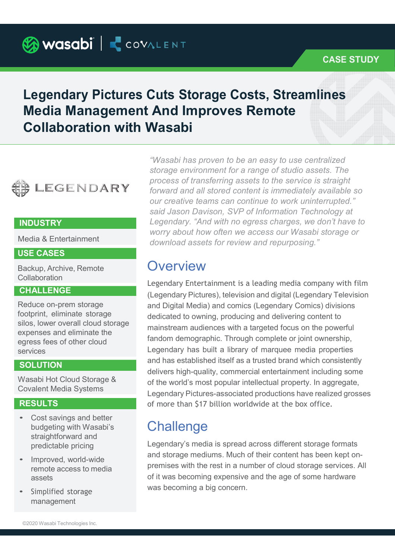Wasabi | COVALENT

## CASE STUDY

# Legendary Pictures Cuts Storage Costs, Streamlines Media Management And Improves Remote Collaboration with Wasabi



Media & Entertainment

### USE CASES

Backup, Archive, Remote **Collaboration** 

### **CHALLENGE**

Reduce on-prem storage footprint, eliminate storage silos, lower overall cloud storage expenses and eliminate the egress fees of other cloud services

#### **SOLUTION**

Wasabi Hot Cloud Storage & Covalent Media Systems

- Cost savings and better budgeting with Wasabi's straightforward and predictable pricing
- Improved, world-wide remote access to media assets
- Simplified storage management

INDUSTRY Legendary. "And with no egress charges, we don't have to "Wasabi has proven to be an easy to use centralized storage environment for a range of studio assets. The process of transferring assets to the service is straight forward and all stored content is immediately available so our creative teams can continue to work uninterrupted." said Jason Davison, SVP of Information Technology at worry about how often we access our Wasabi storage or download assets for review and repurposing."

## **Overview**

**RESULTS Example 20** of more than \$17 billion worldwide at the box office. Legendary Entertainment is a leading media company with film (Legendary Pictures), television and digital (Legendary Television and Digital Media) and comics (Legendary Comics) divisions dedicated to owning, producing and delivering content to mainstream audiences with a targeted focus on the powerful fandom demographic. Through complete or joint ownership, Legendary has built a library of marquee media properties and has established itself as a trusted brand which consistently delivers high-quality, commercial entertainment including some of the world's most popular intellectual property. In aggregate, Legendary Pictures-associated productions have realized grosses

# **Challenge**

Legendary's media is spread across different storage formats and storage mediums. Much of their content has been kept onpremises with the rest in a number of cloud storage services. All of it was becoming expensive and the age of some hardware was becoming a big concern.